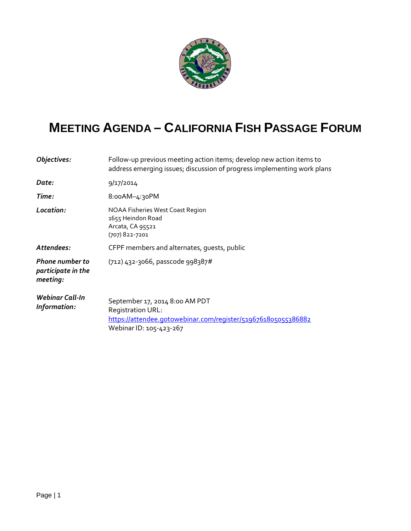

## **MEETING AGENDA – CALIFORNIA FISH PASSAGE FORUM**

| Objectives:                                              | Follow-up previous meeting action items; develop new action items to<br>address emerging issues; discussion of progress implementing work plans               |  |
|----------------------------------------------------------|---------------------------------------------------------------------------------------------------------------------------------------------------------------|--|
| Date:                                                    | 9/17/2014                                                                                                                                                     |  |
| Time:                                                    | 8:00AM-4:30PM                                                                                                                                                 |  |
| Location:                                                | NOAA Fisheries West Coast Region<br>1655 Heindon Road<br>Arcata, CA 95521<br>(707) 822-7201                                                                   |  |
| Attendees:                                               | CFPF members and alternates, quests, public                                                                                                                   |  |
| <b>Phone number to</b><br>participate in the<br>meeting: | (712) 432-3066, passcode 998387#                                                                                                                              |  |
| <b>Webinar Call-In</b><br>Information:                   | September 17, 2014 8:00 AM PDT<br><b>Registration URL:</b><br><u>https://attendee.gotowebinar.com/register/5196761805055386882</u><br>Webinar ID: 105-423-267 |  |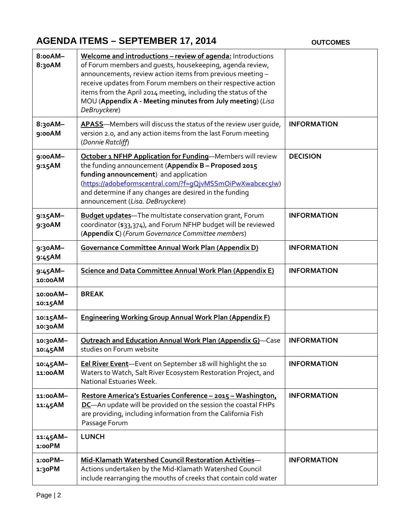## **AGENDA ITEMS – SEPTEMBER 17, 2014 OUTCOMES**

| 8:00AM-<br>8:30AM     | Welcome and introductions - review of agenda: Introductions<br>of Forum members and quests, housekeeping, agenda review,<br>announcements, review action items from previous meeting -<br>receive updates from Forum members on their respective action<br>items from the April 2014 meeting, including the status of the<br>MOU (Appendix A - Meeting minutes from July meeting) (Lisa<br>DeBruyckere) |                    |
|-----------------------|---------------------------------------------------------------------------------------------------------------------------------------------------------------------------------------------------------------------------------------------------------------------------------------------------------------------------------------------------------------------------------------------------------|--------------------|
| 8:30AM-<br>9:00AM     | APASS-Members will discuss the status of the review user guide,<br>version 2.0, and any action items from the last Forum meeting<br>(Donnie Ratcliff)                                                                                                                                                                                                                                                   | <b>INFORMATION</b> |
| 9:00AM-<br>9:15AM     | October 1 NFHP Application for Funding-Members will review<br>the funding announcement (Appendix B - Proposed 2015<br>funding announcement) and application<br>(https://adobeformscentral.com/?f=qQjvMSSmOiPwXwabcec5lw)<br>and determine if any changes are desired in the funding<br>announcement (Lisa. DeBruyckere)                                                                                 | <b>DECISION</b>    |
| 9:15AM-<br>9:30AM     | <b>Budget updates-</b> The multistate conservation grant, Forum<br>coordinator (\$33,374), and Forum NFHP budget will be reviewed<br>(Appendix C) (Forum Governance Committee members)                                                                                                                                                                                                                  | <b>INFORMATION</b> |
| 9:30AM-<br>9:45AM     | <b>Governance Committee Annual Work Plan (Appendix D)</b>                                                                                                                                                                                                                                                                                                                                               | <b>INFORMATION</b> |
| $9:45AM -$<br>10:00AM | <b>Science and Data Committee Annual Work Plan (Appendix E)</b>                                                                                                                                                                                                                                                                                                                                         | <b>INFORMATION</b> |
| 10:00AM-<br>10:15AM   | <b>BREAK</b>                                                                                                                                                                                                                                                                                                                                                                                            |                    |
| 10:15AM-<br>10:30AM   | <b>Engineering Working Group Annual Work Plan (Appendix F)</b>                                                                                                                                                                                                                                                                                                                                          |                    |
| 10:30AM-<br>10:45AM   | <b>Outreach and Education Annual Work Plan (Appendix G)-Case</b><br>studies on Forum website                                                                                                                                                                                                                                                                                                            | <b>INFORMATION</b> |
| 10:45AM-<br>11:00AM   | Eel River Event-Event on September 18 will highlight the 10<br>Waters to Watch, Salt River Ecosystem Restoration Project, and<br>National Estuaries Week.                                                                                                                                                                                                                                               | <b>INFORMATION</b> |
| 11:00AM-<br>11:45AM   | Restore America's Estuaries Conference - 2015 - Washington,<br>DC-An update will be provided on the session the coastal FHPs<br>are providing, including information from the California Fish<br>Passage Forum                                                                                                                                                                                          | <b>INFORMATION</b> |
| 11:45AM-<br>1:00PM    | <b>LUNCH</b>                                                                                                                                                                                                                                                                                                                                                                                            |                    |
| 1:00PM-<br>1:30PM     | Mid-Klamath Watershed Council Restoration Activities-<br>Actions undertaken by the Mid-Klamath Watershed Council<br>include rearranging the mouths of creeks that contain cold water                                                                                                                                                                                                                    | <b>INFORMATION</b> |